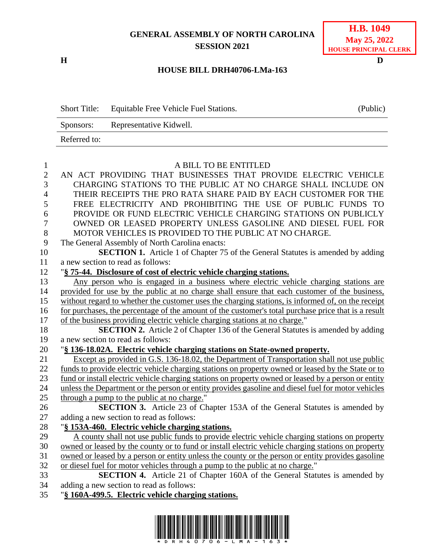## **GENERAL ASSEMBLY OF NORTH CAROLINA SESSION 2021**

**H D**

## **H.B. 1049 May 25, 2022 HOUSE PRINCIPAL CLERK**

## **HOUSE BILL DRH40706-LMa-163**

Short Title: Equitable Free Vehicle Fuel Stations. (Public) Sponsors: Representative Kidwell. Referred to:

| $\mathbf{1}$   | A BILL TO BE ENTITLED                                                                                |
|----------------|------------------------------------------------------------------------------------------------------|
| $\overline{2}$ | AN ACT PROVIDING THAT BUSINESSES THAT PROVIDE ELECTRIC VEHICLE                                       |
| 3              | CHARGING STATIONS TO THE PUBLIC AT NO CHARGE SHALL INCLUDE ON                                        |
| $\overline{4}$ | THEIR RECEIPTS THE PRO RATA SHARE PAID BY EACH CUSTOMER FOR THE                                      |
| 5              | FREE ELECTRICITY AND PROHIBITING THE USE OF PUBLIC FUNDS TO                                          |
| 6              | PROVIDE OR FUND ELECTRIC VEHICLE CHARGING STATIONS ON PUBLICLY                                       |
| $\overline{7}$ | OWNED OR LEASED PROPERTY UNLESS GASOLINE AND DIESEL FUEL FOR                                         |
| 8              | MOTOR VEHICLES IS PROVIDED TO THE PUBLIC AT NO CHARGE.                                               |
| 9              | The General Assembly of North Carolina enacts:                                                       |
| 10             | <b>SECTION 1.</b> Article 1 of Chapter 75 of the General Statutes is amended by adding               |
| 11             | a new section to read as follows:                                                                    |
| 12             | "§ 75-44. Disclosure of cost of electric vehicle charging stations.                                  |
| 13             | Any person who is engaged in a business where electric vehicle charging stations are                 |
| 14             | provided for use by the public at no charge shall ensure that each customer of the business,         |
| 15             | without regard to whether the customer uses the charging stations, is informed of, on the receipt    |
| 16             | for purchases, the percentage of the amount of the customer's total purchase price that is a result  |
| 17             | of the business providing electric vehicle charging stations at no charge."                          |
| 18             | <b>SECTION 2.</b> Article 2 of Chapter 136 of the General Statutes is amended by adding              |
| 19             | a new section to read as follows:                                                                    |
| 20             | "§ 136-18.02A. Electric vehicle charging stations on State-owned property.                           |
| 21             | Except as provided in G.S. 136-18.02, the Department of Transportation shall not use public          |
| 22             | funds to provide electric vehicle charging stations on property owned or leased by the State or to   |
| 23             | fund or install electric vehicle charging stations on property owned or leased by a person or entity |
| 24             | unless the Department or the person or entity provides gasoline and diesel fuel for motor vehicles   |
| 25             | through a pump to the public at no charge."                                                          |
| 26             | SECTION 3. Article 23 of Chapter 153A of the General Statutes is amended by                          |
| 27             | adding a new section to read as follows:                                                             |
| 28             | "§ 153A-460. Electric vehicle charging stations.                                                     |
| 29             | A county shall not use public funds to provide electric vehicle charging stations on property        |
| 30             | owned or leased by the county or to fund or install electric vehicle charging stations on property   |
| 31             | owned or leased by a person or entity unless the county or the person or entity provides gasoline    |
| 32             | or diesel fuel for motor vehicles through a pump to the public at no charge."                        |
| 33             | SECTION 4. Article 21 of Chapter 160A of the General Statutes is amended by                          |
| 34             | adding a new section to read as follows:                                                             |
| 35             | "§ 160A-499.5. Electric vehicle charging stations.                                                   |